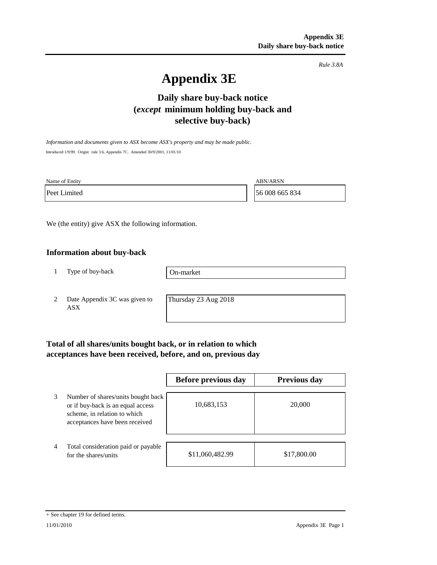*Rule 3.8A*

# **Appendix 3E**

# **Daily share buy-back notice (***except* **minimum holding buy-back and selective buy-back)**

*Information and documents given to ASX become ASX's property and may be made public.* Introduced 1/9/99. Origin: rule 3.6, Appendix 7C. Amended 30/9/2001, 11/01/10

Name of Entity ABN/ARSN

Peet Limited 56 008 665 834

We (the entity) give ASX the following information.

## **Information about buy-back**

1 Type of buy-back

On-market

2 Date Appendix 3C was given to ASX

Thursday 23 Aug 2018

# **Total of all shares/units bought back, or in relation to which acceptances have been received, before, and on, previous day**

|   |                                                                                                                                           | Before previous day | Previous day |
|---|-------------------------------------------------------------------------------------------------------------------------------------------|---------------------|--------------|
| 3 | Number of shares/units bought back<br>or if buy-back is an equal access<br>scheme, in relation to which<br>acceptances have been received | 10,683,153          | 20,000       |
| 4 | Total consideration paid or payable<br>for the shares/units                                                                               | \$11,060,482.99     | \$17,800.00  |

#### + See chapter 19 for defined terms.